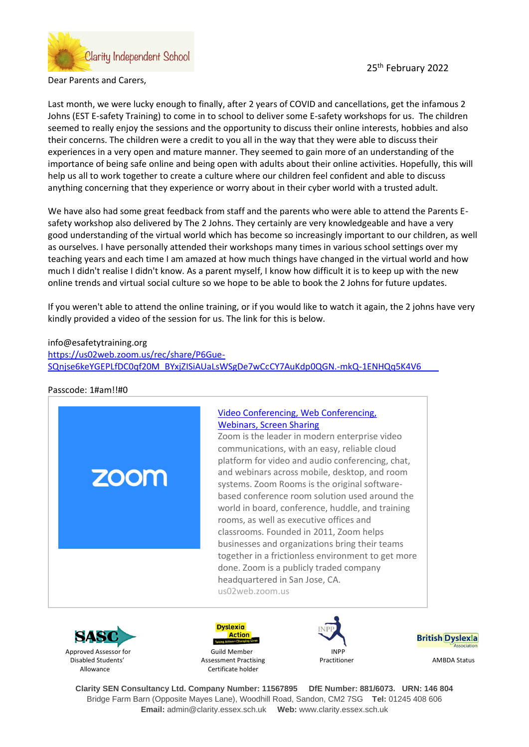

25<sup>th</sup> February 2022

Dear Parents and Carers,

Last month, we were lucky enough to finally, after 2 years of COVID and cancellations, get the infamous 2 Johns (EST E-safety Training) to come in to school to deliver some E-safety workshops for us. The children seemed to really enjoy the sessions and the opportunity to discuss their online interests, hobbies and also their concerns. The children were a credit to you all in the way that they were able to discuss their experiences in a very open and mature manner. They seemed to gain more of an understanding of the importance of being safe online and being open with adults about their online activities. Hopefully, this will help us all to work together to create a culture where our children feel confident and able to discuss anything concerning that they experience or worry about in their cyber world with a trusted adult.

We have also had some great feedback from staff and the parents who were able to attend the Parents Esafety workshop also delivered by The 2 Johns. They certainly are very knowledgeable and have a very good understanding of the virtual world which has become so increasingly important to our children, as well as ourselves. I have personally attended their workshops many times in various school settings over my teaching years and each time I am amazed at how much things have changed in the virtual world and how much I didn't realise I didn't know. As a parent myself, I know how difficult it is to keep up with the new online trends and virtual social culture so we hope to be able to book the 2 Johns for future updates.

If you weren't able to attend the online training, or if you would like to watch it again, the 2 johns have very kindly provided a video of the session for us. The link for this is below.

## info@esafetytraining.org [https://us02web.zoom.us/rec/share/P6Gue-](https://us02web.zoom.us/rec/share/P6Gue-SQnjse6keYGEPLfDC0qf20M_BYxjZISiAUaLsWSgDe7wCcCY7AuKdp0QGN.-mkQ-1ENHQq5K4V6)[SQnjse6keYGEPLfDC0qf20M\\_BYxjZISiAUaLsWSgDe7wCcCY7AuKdp0QGN.-mkQ-1ENHQq5K4V6](https://us02web.zoom.us/rec/share/P6Gue-SQnjse6keYGEPLfDC0qf20M_BYxjZISiAUaLsWSgDe7wCcCY7AuKdp0QGN.-mkQ-1ENHQq5K4V6)

Passcode: 1#am!!#0











**Clarity SEN Consultancy Ltd. Company Number: 11567895 DfE Number: 881/6073. URN: 146 804** Bridge Farm Barn (Opposite Mayes Lane), Woodhill Road, Sandon, CM2 7SG **Tel:** 01245 408 606 **Email:** admin@clarity.essex.sch.uk **Web:** www.clarity.essex.sch.uk